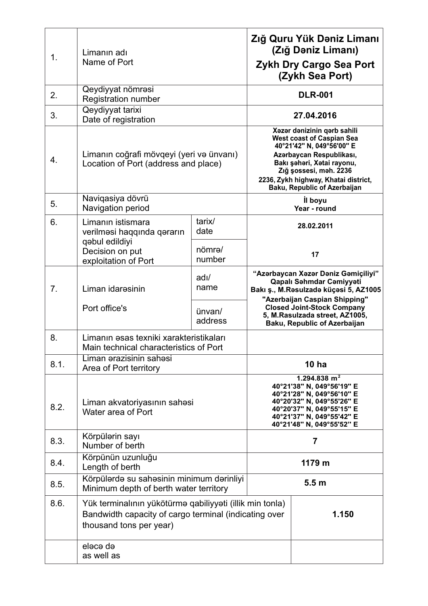| 1.   | Limanın adı<br>Name of Port                                                                                                                           |                         | Zığ Quru Yük Dəniz Limanı<br>(Zığ Dəniz Limanı)<br>Zykh Dry Cargo Sea Port<br>(Zykh Sea Port)                                                                                                                                                                   |                                                                                                                                           |
|------|-------------------------------------------------------------------------------------------------------------------------------------------------------|-------------------------|-----------------------------------------------------------------------------------------------------------------------------------------------------------------------------------------------------------------------------------------------------------------|-------------------------------------------------------------------------------------------------------------------------------------------|
| 2.   | Qeydiyyat nömrəsi<br><b>Registration number</b>                                                                                                       |                         | <b>DLR-001</b>                                                                                                                                                                                                                                                  |                                                                                                                                           |
| 3.   | Qeydiyyat tarixi<br>Date of registration                                                                                                              |                         | 27.04.2016                                                                                                                                                                                                                                                      |                                                                                                                                           |
| 4.   | Limanın coğrafi mövqeyi (yeri və ünvanı)<br>Location of Port (address and place)                                                                      |                         | Xəzər dənizinin qərb sahili<br><b>West coast of Caspian Sea</b><br>40°21'42" N, 049°56'00" E<br>Azərbaycan Respublikası,<br>Bakı şəhəri, Xətai rayonu,<br>Zığ şossesi, məh. 2236<br>2236, Zykh highway, Khatai district,<br><b>Baku, Republic of Azerbaijan</b> |                                                                                                                                           |
| 5.   | Naviqasiya dövrü<br>Navigation period                                                                                                                 |                         | <b>il boyu</b><br>Year - round                                                                                                                                                                                                                                  |                                                                                                                                           |
| 6.   | Limanın istismara<br>verilməsi haqqında qərarın<br>qəbul edildiyi                                                                                     | tarix/<br>date          |                                                                                                                                                                                                                                                                 | 28.02.2011                                                                                                                                |
|      | Decision on put<br>exploitation of Port                                                                                                               | nömrə/<br>number        |                                                                                                                                                                                                                                                                 | 17                                                                                                                                        |
| 7.   | Liman idaresinin                                                                                                                                      | $\frac{adI}{a}$<br>name |                                                                                                                                                                                                                                                                 | "Azərbaycan Xəzər Dəniz Gəmiçiliyi"<br>Qapalı Səhmdar Cəmiyyəti<br>Bakı ş., M.Rəsulzadə küçəsi 5, AZ1005<br>"Azerbaijan Caspian Shipping" |
|      | Port office's                                                                                                                                         | ünvan/<br>address       |                                                                                                                                                                                                                                                                 | <b>Closed Joint-Stock Company</b><br>5, M.Rasulzada street, AZ1005,<br><b>Baku, Republic of Azerbaijan</b>                                |
| 8.   | Limanın əsas texniki xarakteristikaları<br>Main technical characteristics of Port                                                                     |                         |                                                                                                                                                                                                                                                                 |                                                                                                                                           |
| 8.1. | Liman arazisinin sahasi<br>Area of Port territory                                                                                                     |                         | 10 <sub>ha</sub>                                                                                                                                                                                                                                                |                                                                                                                                           |
| 8.2. | Liman akvatoriyasının sahəsi<br>Water area of Port                                                                                                    |                         | 1.294.838 $m2$<br>40°21'38" N, 049°56'19" E<br>40°21'28" N, 049°56'10" E<br>40°20'32" N, 049°55'26" E<br>40°20'37" N, 049°55'15" E<br>40°21'37" N, 049°55'42" E<br>40°21'48" N, 049°55'52" E                                                                    |                                                                                                                                           |
| 8.3. | Körpülərin sayı<br>Number of berth                                                                                                                    |                         | $\overline{7}$                                                                                                                                                                                                                                                  |                                                                                                                                           |
| 8.4. | Körpünün uzunluğu<br>Length of berth                                                                                                                  |                         | 1179 m                                                                                                                                                                                                                                                          |                                                                                                                                           |
| 8.5. | Körpülərdə su sahəsinin minimum dərinliyi<br>Minimum depth of berth water territory                                                                   |                         | 5.5 <sub>m</sub>                                                                                                                                                                                                                                                |                                                                                                                                           |
| 8.6. | Yük terminalının yükötürmə qabiliyyəti (illik min tonla)<br>Bandwidth capacity of cargo terminal (indicating over<br>1.150<br>thousand tons per year) |                         |                                                                                                                                                                                                                                                                 |                                                                                                                                           |
|      | elece de<br>as well as                                                                                                                                |                         |                                                                                                                                                                                                                                                                 |                                                                                                                                           |